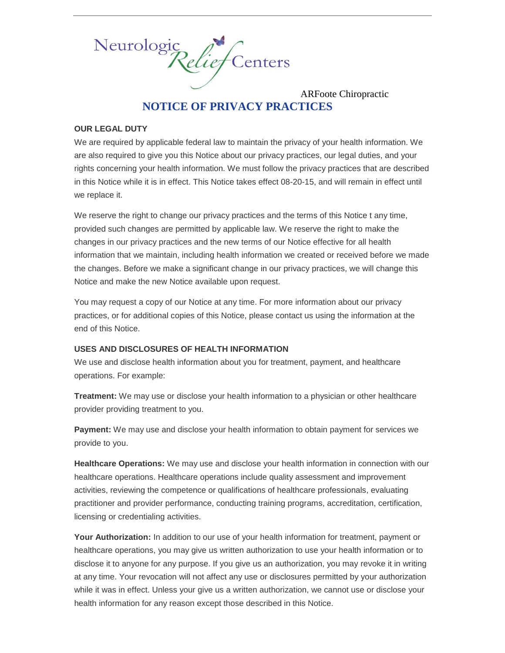

ARFoote Chiropractic **NOTICE OF PRIVACY PRACTICES**

#### **OUR LEGAL DUTY**

We are required by applicable federal law to maintain the privacy of your health information. We are also required to give you this Notice about our privacy practices, our legal duties, and your rights concerning your health information. We must follow the privacy practices that are described in this Notice while it is in effect. This Notice takes effect 08-20-15, and will remain in effect until we replace it.

We reserve the right to change our privacy practices and the terms of this Notice t any time, provided such changes are permitted by applicable law. We reserve the right to make the changes in our privacy practices and the new terms of our Notice effective for all health information that we maintain, including health information we created or received before we made the changes. Before we make a significant change in our privacy practices, we will change this Notice and make the new Notice available upon request.

You may request a copy of our Notice at any time. For more information about our privacy practices, or for additional copies of this Notice, please contact us using the information at the end of this Notice.

## **USES AND DISCLOSURES OF HEALTH INFORMATION**

We use and disclose health information about you for treatment, payment, and healthcare operations. For example:

**Treatment:** We may use or disclose your health information to a physician or other healthcare provider providing treatment to you.

**Payment:** We may use and disclose your health information to obtain payment for services we provide to you.

**Healthcare Operations:** We may use and disclose your health information in connection with our healthcare operations. Healthcare operations include quality assessment and improvement activities, reviewing the competence or qualifications of healthcare professionals, evaluating practitioner and provider performance, conducting training programs, accreditation, certification, licensing or credentialing activities.

**Your Authorization:** In addition to our use of your health information for treatment, payment or healthcare operations, you may give us written authorization to use your health information or to disclose it to anyone for any purpose. If you give us an authorization, you may revoke it in writing at any time. Your revocation will not affect any use or disclosures permitted by your authorization while it was in effect. Unless your give us a written authorization, we cannot use or disclose your health information for any reason except those described in this Notice.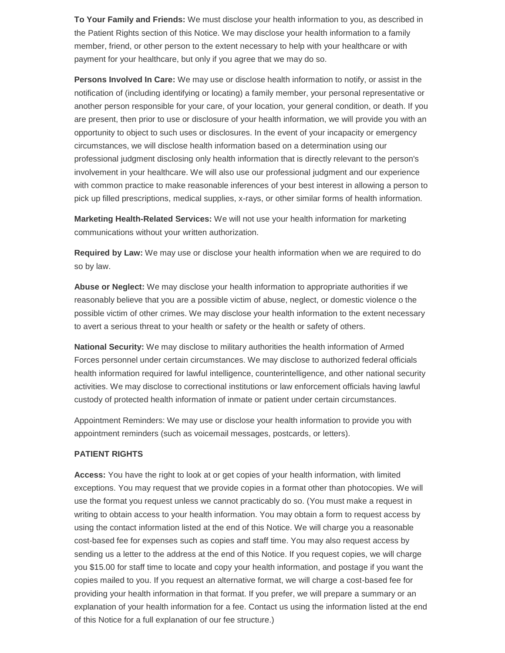**To Your Family and Friends:** We must disclose your health information to you, as described in the Patient Rights section of this Notice. We may disclose your health information to a family member, friend, or other person to the extent necessary to help with your healthcare or with payment for your healthcare, but only if you agree that we may do so.

**Persons Involved In Care:** We may use or disclose health information to notify, or assist in the notification of (including identifying or locating) a family member, your personal representative or another person responsible for your care, of your location, your general condition, or death. If you are present, then prior to use or disclosure of your health information, we will provide you with an opportunity to object to such uses or disclosures. In the event of your incapacity or emergency circumstances, we will disclose health information based on a determination using our professional judgment disclosing only health information that is directly relevant to the person's involvement in your healthcare. We will also use our professional judgment and our experience with common practice to make reasonable inferences of your best interest in allowing a person to pick up filled prescriptions, medical supplies, x-rays, or other similar forms of health information.

**Marketing Health-Related Services:** We will not use your health information for marketing communications without your written authorization.

**Required by Law:** We may use or disclose your health information when we are required to do so by law.

**Abuse or Neglect:** We may disclose your health information to appropriate authorities if we reasonably believe that you are a possible victim of abuse, neglect, or domestic violence o the possible victim of other crimes. We may disclose your health information to the extent necessary to avert a serious threat to your health or safety or the health or safety of others.

**National Security:** We may disclose to military authorities the health information of Armed Forces personnel under certain circumstances. We may disclose to authorized federal officials health information required for lawful intelligence, counterintelligence, and other national security activities. We may disclose to correctional institutions or law enforcement officials having lawful custody of protected health information of inmate or patient under certain circumstances.

Appointment Reminders: We may use or disclose your health information to provide you with appointment reminders (such as voicemail messages, postcards, or letters).

### **PATIENT RIGHTS**

**Access:** You have the right to look at or get copies of your health information, with limited exceptions. You may request that we provide copies in a format other than photocopies. We will use the format you request unless we cannot practicably do so. (You must make a request in writing to obtain access to your health information. You may obtain a form to request access by using the contact information listed at the end of this Notice. We will charge you a reasonable cost-based fee for expenses such as copies and staff time. You may also request access by sending us a letter to the address at the end of this Notice. If you request copies, we will charge you \$15.00 for staff time to locate and copy your health information, and postage if you want the copies mailed to you. If you request an alternative format, we will charge a cost-based fee for providing your health information in that format. If you prefer, we will prepare a summary or an explanation of your health information for a fee. Contact us using the information listed at the end of this Notice for a full explanation of our fee structure.)